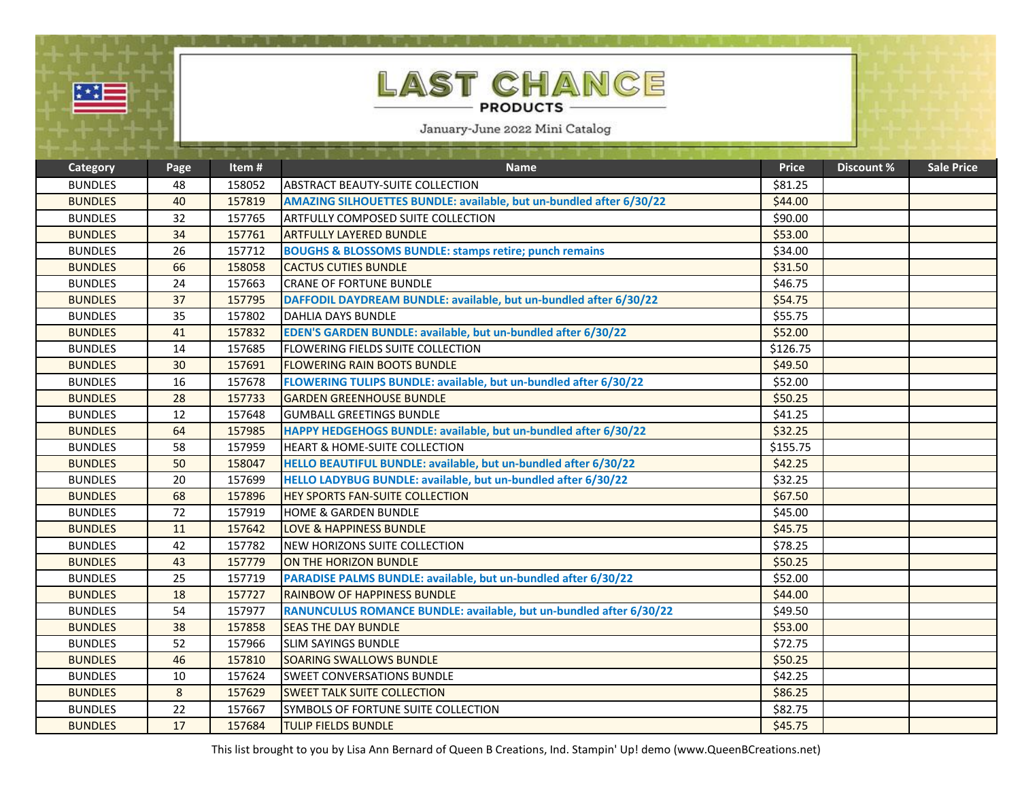| ņi. |  |
|-----|--|
|     |  |

## **AST CHANCE** ſL **PRODUCTS -**

January-June 2022 Mini Catalog

|                |      |        | and the state of the state of the state of                          |              |                   |                   |
|----------------|------|--------|---------------------------------------------------------------------|--------------|-------------------|-------------------|
| Category       | Page | Item#  | <b>Name</b>                                                         | <b>Price</b> | <b>Discount %</b> | <b>Sale Price</b> |
| <b>BUNDLES</b> | 48   | 158052 | <b>ABSTRACT BEAUTY-SUITE COLLECTION</b>                             | \$81.25      |                   |                   |
| <b>BUNDLES</b> | 40   | 157819 | AMAZING SILHOUETTES BUNDLE: available, but un-bundled after 6/30/22 | \$44.00      |                   |                   |
| <b>BUNDLES</b> | 32   | 157765 | <b>ARTFULLY COMPOSED SUITE COLLECTION</b>                           | \$90.00      |                   |                   |
| <b>BUNDLES</b> | 34   | 157761 | <b>ARTFULLY LAYERED BUNDLE</b>                                      | \$53.00      |                   |                   |
| <b>BUNDLES</b> | 26   | 157712 | <b>BOUGHS &amp; BLOSSOMS BUNDLE: stamps retire; punch remains</b>   | \$34.00      |                   |                   |
| <b>BUNDLES</b> | 66   | 158058 | <b>CACTUS CUTIES BUNDLE</b>                                         | \$31.50      |                   |                   |
| <b>BUNDLES</b> | 24   | 157663 | <b>CRANE OF FORTUNE BUNDLE</b>                                      | \$46.75      |                   |                   |
| <b>BUNDLES</b> | 37   | 157795 | DAFFODIL DAYDREAM BUNDLE: available, but un-bundled after 6/30/22   | \$54.75      |                   |                   |
| <b>BUNDLES</b> | 35   | 157802 | <b>DAHLIA DAYS BUNDLE</b>                                           | \$55.75      |                   |                   |
| <b>BUNDLES</b> | 41   | 157832 | EDEN'S GARDEN BUNDLE: available, but un-bundled after 6/30/22       | \$52.00      |                   |                   |
| <b>BUNDLES</b> | 14   | 157685 | <b>FLOWERING FIELDS SUITE COLLECTION</b>                            | \$126.75     |                   |                   |
| <b>BUNDLES</b> | 30   | 157691 | <b>FLOWERING RAIN BOOTS BUNDLE</b>                                  | \$49.50      |                   |                   |
| <b>BUNDLES</b> | 16   | 157678 | FLOWERING TULIPS BUNDLE: available, but un-bundled after 6/30/22    | \$52.00      |                   |                   |
| <b>BUNDLES</b> | 28   | 157733 | <b>GARDEN GREENHOUSE BUNDLE</b>                                     | \$50.25      |                   |                   |
| <b>BUNDLES</b> | 12   | 157648 | <b>GUMBALL GREETINGS BUNDLE</b>                                     | \$41.25      |                   |                   |
| <b>BUNDLES</b> | 64   | 157985 | HAPPY HEDGEHOGS BUNDLE: available, but un-bundled after 6/30/22     | \$32.25      |                   |                   |
| <b>BUNDLES</b> | 58   | 157959 | <b>HEART &amp; HOME-SUITE COLLECTION</b>                            | \$155.75     |                   |                   |
| <b>BUNDLES</b> | 50   | 158047 | HELLO BEAUTIFUL BUNDLE: available, but un-bundled after 6/30/22     | \$42.25      |                   |                   |
| <b>BUNDLES</b> | 20   | 157699 | HELLO LADYBUG BUNDLE: available, but un-bundled after 6/30/22       | \$32.25      |                   |                   |
| <b>BUNDLES</b> | 68   | 157896 | <b>HEY SPORTS FAN-SUITE COLLECTION</b>                              | \$67.50      |                   |                   |
| <b>BUNDLES</b> | 72   | 157919 | <b>HOME &amp; GARDEN BUNDLE</b>                                     | \$45.00      |                   |                   |
| <b>BUNDLES</b> | 11   | 157642 | <b>LOVE &amp; HAPPINESS BUNDLE</b>                                  | \$45.75      |                   |                   |
| <b>BUNDLES</b> | 42   | 157782 | NEW HORIZONS SUITE COLLECTION                                       | \$78.25      |                   |                   |
| <b>BUNDLES</b> | 43   | 157779 | ON THE HORIZON BUNDLE                                               | \$50.25      |                   |                   |
| <b>BUNDLES</b> | 25   | 157719 | PARADISE PALMS BUNDLE: available, but un-bundled after 6/30/22      | \$52.00      |                   |                   |
| <b>BUNDLES</b> | 18   | 157727 | <b>RAINBOW OF HAPPINESS BUNDLE</b>                                  | \$44.00      |                   |                   |
| <b>BUNDLES</b> | 54   | 157977 | RANUNCULUS ROMANCE BUNDLE: available, but un-bundled after 6/30/22  | \$49.50      |                   |                   |
| <b>BUNDLES</b> | 38   | 157858 | <b>SEAS THE DAY BUNDLE</b>                                          | \$53.00      |                   |                   |
| <b>BUNDLES</b> | 52   | 157966 | <b>SLIM SAYINGS BUNDLE</b>                                          | \$72.75      |                   |                   |
| <b>BUNDLES</b> | 46   | 157810 | <b>SOARING SWALLOWS BUNDLE</b>                                      | \$50.25      |                   |                   |
| <b>BUNDLES</b> | 10   | 157624 | <b>SWEET CONVERSATIONS BUNDLE</b>                                   | \$42.25      |                   |                   |
| <b>BUNDLES</b> | 8    | 157629 | <b>ISWEET TALK SUITE COLLECTION</b>                                 | \$86.25      |                   |                   |
| <b>BUNDLES</b> | 22   | 157667 | SYMBOLS OF FORTUNE SUITE COLLECTION                                 | \$82.75      |                   |                   |
| <b>BUNDLES</b> | 17   | 157684 | <b>TULIP FIELDS BUNDLE</b>                                          | \$45.75      |                   |                   |
|                |      |        |                                                                     |              |                   |                   |

This list brought to you by Lisa Ann Bernard of Queen B Creations, Ind. Stampin' Up! demo (www.QueenBCreations.net)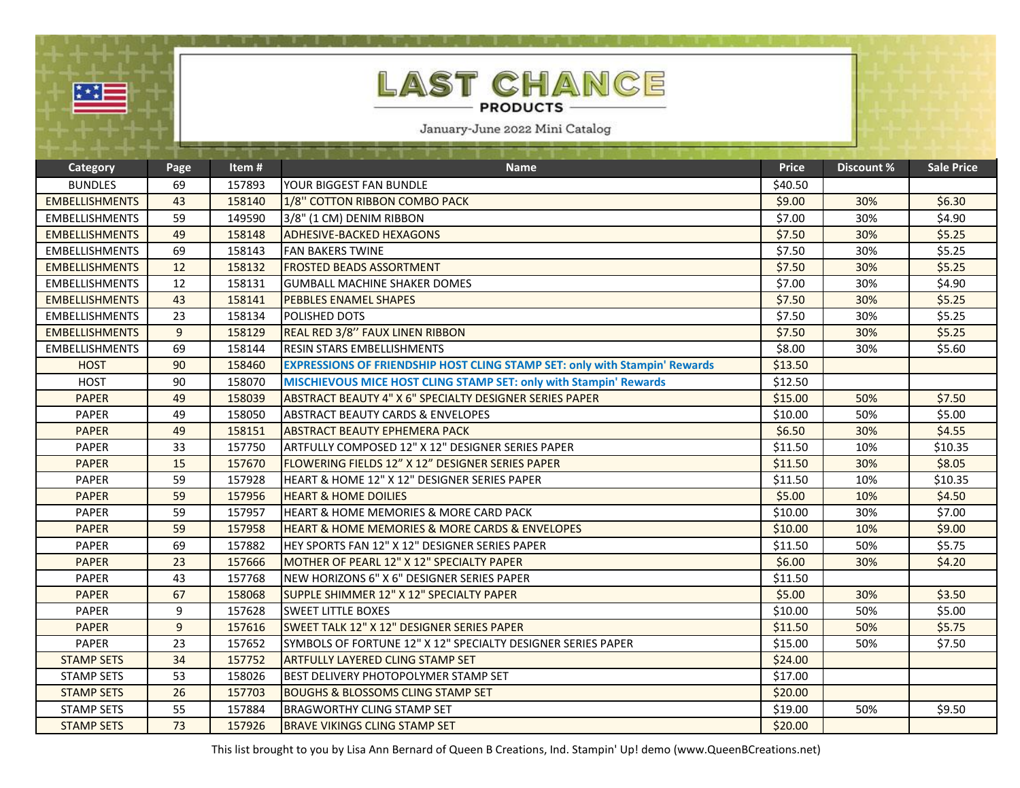| LAST CHANCE<br>举章<br><b>PRODUCTS</b><br>January-June 2022 Mini Catalog |      |        |                                                                                   |              |                   |                   |
|------------------------------------------------------------------------|------|--------|-----------------------------------------------------------------------------------|--------------|-------------------|-------------------|
| <b>Category</b>                                                        | Page | Item#  | <b>Name</b>                                                                       | <b>Price</b> | <b>Discount %</b> | <b>Sale Price</b> |
| <b>BUNDLES</b>                                                         | 69   | 157893 | YOUR BIGGEST FAN BUNDLE                                                           | \$40.50      |                   |                   |
| <b>EMBELLISHMENTS</b>                                                  | 43   | 158140 | 1/8" COTTON RIBBON COMBO PACK                                                     | \$9.00       | 30%               | \$6.30            |
| <b>EMBELLISHMENTS</b>                                                  | 59   | 149590 | 3/8" (1 CM) DENIM RIBBON                                                          | \$7.00       | 30%               | \$4.90            |
| <b>EMBELLISHMENTS</b>                                                  | 49   | 158148 | <b>ADHESIVE-BACKED HEXAGONS</b>                                                   | \$7.50       | 30%               | \$5.25            |
| <b>EMBELLISHMENTS</b>                                                  | 69   | 158143 | <b>FAN BAKERS TWINE</b>                                                           | \$7.50       | 30%               | \$5.25            |
| <b>EMBELLISHMENTS</b>                                                  | 12   | 158132 | <b>FROSTED BEADS ASSORTMENT</b>                                                   | \$7.50       | 30%               | \$5.25            |
| <b>EMBELLISHMENTS</b>                                                  | 12   | 158131 | GUMBALL MACHINE SHAKER DOMES                                                      | \$7.00       | 30%               | \$4.90            |
| <b>EMBELLISHMENTS</b>                                                  | 43   | 158141 | <b>PEBBLES ENAMEL SHAPES</b>                                                      | \$7.50       | 30%               | \$5.25            |
| <b>EMBELLISHMENTS</b>                                                  | 23   | 158134 | POLISHED DOTS                                                                     | \$7.50       | 30%               | \$5.25            |
| <b>EMBELLISHMENTS</b>                                                  | 9    | 158129 | REAL RED 3/8" FAUX LINEN RIBBON                                                   | \$7.50       | 30%               | \$5.25            |
| <b>EMBELLISHMENTS</b>                                                  | 69   | 158144 | <b>RESIN STARS EMBELLISHMENTS</b>                                                 | \$8.00       | 30%               | \$5.60            |
| <b>HOST</b>                                                            | 90   | 158460 | <b>EXPRESSIONS OF FRIENDSHIP HOST CLING STAMP SET: only with Stampin' Rewards</b> | \$13.50      |                   |                   |
| <b>HOST</b>                                                            | 90   | 158070 | MISCHIEVOUS MICE HOST CLING STAMP SET: only with Stampin' Rewards                 | \$12.50      |                   |                   |
| <b>PAPER</b>                                                           | 49   | 158039 | <b>ABSTRACT BEAUTY 4" X 6" SPECIALTY DESIGNER SERIES PAPER</b>                    | \$15.00      | 50%               | \$7.50            |
| <b>PAPER</b>                                                           | 49   | 158050 | <b>ABSTRACT BEAUTY CARDS &amp; ENVELOPES</b>                                      | \$10.00      | 50%               | \$5.00            |
| <b>PAPER</b>                                                           | 49   | 158151 | <b>ABSTRACT BEAUTY EPHEMERA PACK</b>                                              | \$6.50       | 30%               | \$4.55            |
| <b>PAPER</b>                                                           | 33   | 157750 | ARTFULLY COMPOSED 12" X 12" DESIGNER SERIES PAPER                                 | \$11.50      | 10%               | \$10.35           |
| <b>PAPER</b>                                                           | 15   | 157670 | FLOWERING FIELDS 12" X 12" DESIGNER SERIES PAPER                                  | \$11.50      | 30%               | \$8.05            |
| <b>PAPER</b>                                                           | 59   | 157928 | HEART & HOME 12" X 12" DESIGNER SERIES PAPER                                      | \$11.50      | 10%               | \$10.35           |
| <b>PAPER</b>                                                           | 59   | 157956 | <b>HEART &amp; HOME DOILIES</b>                                                   | \$5.00       | 10%               | \$4.50            |
| <b>PAPER</b>                                                           | 59   | 157957 | HEART & HOME MEMORIES & MORE CARD PACK                                            | \$10.00      | 30%               | \$7.00            |
| <b>PAPER</b>                                                           | 59   | 157958 | <b>HEART &amp; HOME MEMORIES &amp; MORE CARDS &amp; ENVELOPES</b>                 | \$10.00      | 10%               | \$9.00            |
| <b>PAPER</b>                                                           | 69   | 157882 | HEY SPORTS FAN 12" X 12" DESIGNER SERIES PAPER                                    | \$11.50      | 50%               | \$5.75            |
| <b>PAPER</b>                                                           | 23   | 157666 | MOTHER OF PEARL 12" X 12" SPECIALTY PAPER                                         | \$6.00       | 30%               | \$4.20            |
| <b>PAPER</b>                                                           | 43   | 157768 | NEW HORIZONS 6" X 6" DESIGNER SERIES PAPER                                        | \$11.50      |                   |                   |
| <b>PAPER</b>                                                           | 67   | 158068 | SUPPLE SHIMMER 12" X 12" SPECIALTY PAPER                                          | \$5.00       | 30%               | \$3.50            |
| <b>PAPER</b>                                                           | 9    | 157628 | <b>SWEET LITTLE BOXES</b>                                                         | \$10.00      | 50%               | \$5.00            |
| <b>PAPER</b>                                                           | 9    | 157616 | <b>ISWEET TALK 12" X 12" DESIGNER SERIES PAPER</b>                                | \$11.50      | 50%               | \$5.75            |
| PAPER                                                                  | 23   | 157652 | ISYMBOLS OF FORTUNE 12" X 12" SPECIALTY DESIGNER SERIES PAPER                     | \$15.00      | 50%               | \$7.50            |
| <b>STAMP SETS</b>                                                      | 34   | 157752 | <b>ARTFULLY LAYERED CLING STAMP SET</b>                                           | \$24.00      |                   |                   |
| <b>STAMP SETS</b>                                                      | 53   | 158026 | IBEST DELIVERY PHOTOPOLYMER STAMP SET                                             | \$17.00      |                   |                   |
| <b>STAMP SETS</b>                                                      | 26   | 157703 | <b>BOUGHS &amp; BLOSSOMS CLING STAMP SET</b>                                      | \$20.00      |                   |                   |
| <b>STAMP SETS</b>                                                      | 55   | 157884 | <b>BRAGWORTHY CLING STAMP SET</b>                                                 | \$19.00      | 50%               | \$9.50            |
| <b>STAMP SETS</b>                                                      | 73   | 157926 | <b>BRAVE VIKINGS CLING STAMP SET</b>                                              | \$20.00      |                   |                   |

This list brought to you by Lisa Ann Bernard of Queen B Creations, Ind. Stampin' Up! demo (www.QueenBCreations.net)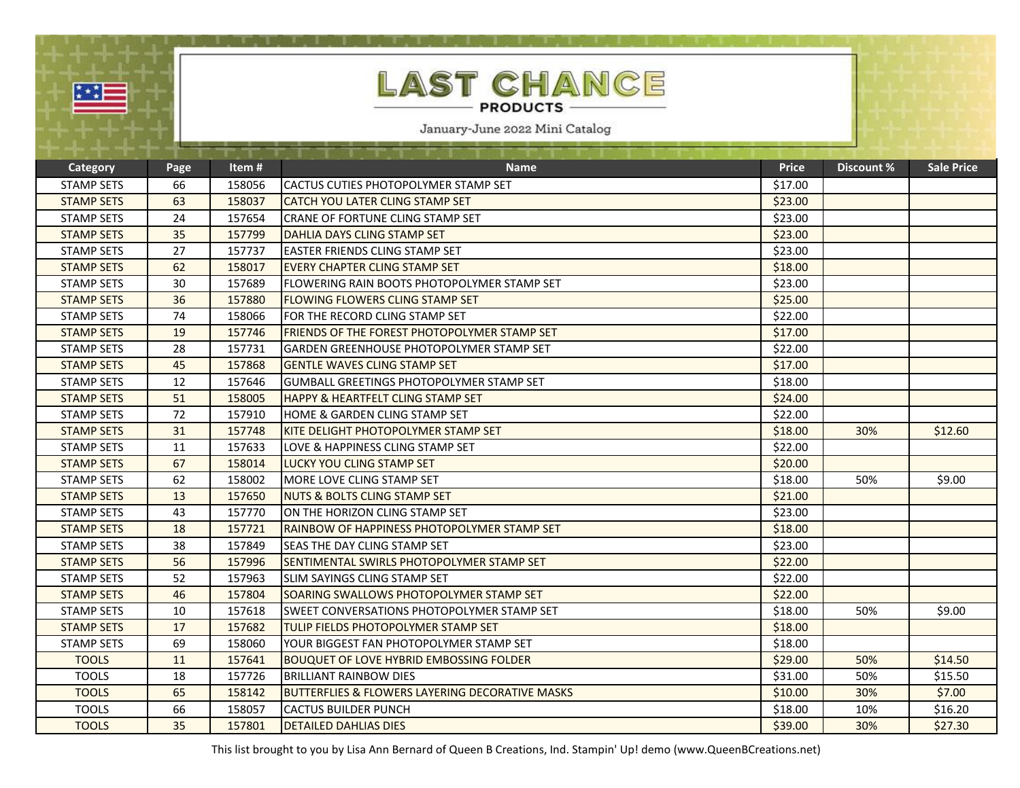| 壁                 |      |        | LAST CHANCE<br><b>PRODUCTS</b><br>January-June 2022 Mini Catalog |              |            |                   |
|-------------------|------|--------|------------------------------------------------------------------|--------------|------------|-------------------|
|                   |      |        |                                                                  |              |            |                   |
| Category          | Page | Item#  | <b>Name</b>                                                      | <b>Price</b> | Discount % | <b>Sale Price</b> |
| <b>STAMP SETS</b> | 66   | 158056 | CACTUS CUTIES PHOTOPOLYMER STAMP SET                             | \$17.00      |            |                   |
| <b>STAMP SETS</b> | 63   | 158037 | <b>CATCH YOU LATER CLING STAMP SET</b>                           | \$23.00      |            |                   |
| <b>STAMP SETS</b> | 24   | 157654 | CRANE OF FORTUNE CLING STAMP SET                                 | \$23.00      |            |                   |
| <b>STAMP SETS</b> | 35   | 157799 | <b>DAHLIA DAYS CLING STAMP SET</b>                               | \$23.00      |            |                   |
| <b>STAMP SETS</b> | 27   | 157737 | <b>EASTER FRIENDS CLING STAMP SET</b>                            | \$23.00      |            |                   |
| <b>STAMP SETS</b> | 62   | 158017 | <b>EVERY CHAPTER CLING STAMP SET</b>                             | \$18.00      |            |                   |
| <b>STAMP SETS</b> | 30   | 157689 | IFLOWERING RAIN BOOTS PHOTOPOLYMER STAMP SET                     | \$23.00      |            |                   |
| <b>STAMP SETS</b> | 36   | 157880 | <b>FLOWING FLOWERS CLING STAMP SET</b>                           | \$25.00      |            |                   |
| <b>STAMP SETS</b> | 74   | 158066 | FOR THE RECORD CLING STAMP SET                                   | \$22.00      |            |                   |
| <b>STAMP SETS</b> | 19   | 157746 | <b>FRIENDS OF THE FOREST PHOTOPOLYMER STAMP SET</b>              | \$17.00      |            |                   |
| <b>STAMP SETS</b> | 28   | 157731 | GARDEN GREENHOUSE PHOTOPOLYMER STAMP SET                         | \$22.00      |            |                   |
| <b>STAMP SETS</b> | 45   | 157868 | <b>GENTLE WAVES CLING STAMP SET</b>                              | \$17.00      |            |                   |
| <b>STAMP SETS</b> | 12   | 157646 | GUMBALL GREETINGS PHOTOPOLYMER STAMP SET                         | \$18.00      |            |                   |
| <b>STAMP SETS</b> | 51   | 158005 | <b>HAPPY &amp; HEARTFELT CLING STAMP SET</b>                     | \$24.00      |            |                   |
| <b>STAMP SETS</b> | 72   | 157910 | <b>HOME &amp; GARDEN CLING STAMP SET</b>                         | \$22.00      |            |                   |
| <b>STAMP SETS</b> | 31   | 157748 | KITE DELIGHT PHOTOPOLYMER STAMP SET                              | \$18.00      | 30%        | \$12.60           |
| <b>STAMP SETS</b> | 11   | 157633 | LOVE & HAPPINESS CLING STAMP SET                                 | \$22.00      |            |                   |
| <b>STAMP SETS</b> | 67   | 158014 | LUCKY YOU CLING STAMP SET                                        | \$20.00      |            |                   |
| <b>STAMP SETS</b> | 62   | 158002 | MORE LOVE CLING STAMP SET                                        | \$18.00      | 50%        | \$9.00            |
| <b>STAMP SETS</b> | 13   | 157650 | INUTS & BOLTS CLING STAMP SET                                    | \$21.00      |            |                   |
| <b>STAMP SETS</b> | 43   | 157770 | ON THE HORIZON CLING STAMP SET                                   | \$23.00      |            |                   |
| <b>STAMP SETS</b> | 18   | 157721 | RAINBOW OF HAPPINESS PHOTOPOLYMER STAMP SET                      | \$18.00      |            |                   |
| <b>STAMP SETS</b> | 38   | 157849 | SEAS THE DAY CLING STAMP SET                                     | \$23.00      |            |                   |
| <b>STAMP SETS</b> | 56   | 157996 | SENTIMENTAL SWIRLS PHOTOPOLYMER STAMP SET                        | \$22.00      |            |                   |
| <b>STAMP SETS</b> | 52   | 157963 | SLIM SAYINGS CLING STAMP SET                                     | \$22.00      |            |                   |
| <b>STAMP SETS</b> | 46   | 157804 | SOARING SWALLOWS PHOTOPOLYMER STAMP SET                          | \$22.00      |            |                   |
| <b>STAMP SETS</b> | 10   | 157618 | <b>SWEET CONVERSATIONS PHOTOPOLYMER STAMP SET</b>                | \$18.00      | 50%        | \$9.00            |
| <b>STAMP SETS</b> | 17   | 157682 | <b>TULIP FIELDS PHOTOPOLYMER STAMP SET</b>                       | \$18.00      |            |                   |
| <b>STAMP SETS</b> | 69   | 158060 | YOUR BIGGEST FAN PHOTOPOLYMER STAMP SET                          | \$18.00      |            |                   |
| <b>TOOLS</b>      | 11   | 157641 | <b>BOUQUET OF LOVE HYBRID EMBOSSING FOLDER</b>                   | \$29.00      | 50%        | \$14.50           |
| <b>TOOLS</b>      | 18   | 157726 | <b>BRILLIANT RAINBOW DIES</b>                                    | \$31.00      | 50%        | \$15.50           |
| <b>TOOLS</b>      | 65   | 158142 | <b>BUTTERFLIES &amp; FLOWERS LAYERING DECORATIVE MASKS</b>       | \$10.00      | 30%        | \$7.00            |

This list brought to you by Lisa Ann Bernard of Queen B Creations, Ind. Stampin' Up! demo (www.QueenBCreations.net)

TOOLS 66 158057 CACTUS BUILDER PUNCH 518.00 10% \$16.20<br>1990 1000 10% \$16.20 157801 DETAILED DAHLIAS DIES 539.00 30% \$27.30

TO ETAILED DAHLIAS DIES **\$39.00 \$30% \$39.00 \$30% \$39.00 \$30% \$27.30** \$39.00 \$27.30 \$27.30 \$27.30 \$27.30 \$27.30 \$